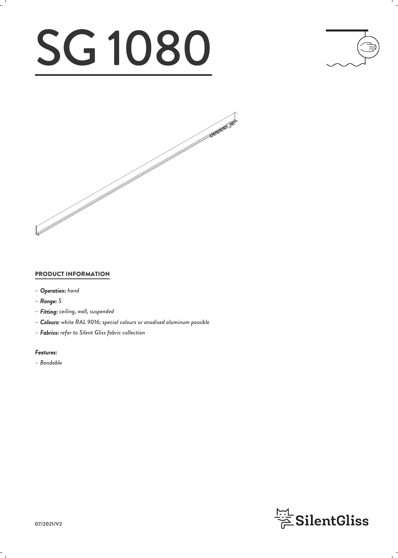# SG 1080





#### PRODUCT INFORMATION

- *– Operation: hand*
- *– Range: S*
- *– Fitting: ceiling, wall, suspended*
- *– Colours: white RAL 9016; special colours or anodised aluminum possible*
- *– Fabrics: refer to Silent Gliss fabric collection*

#### *Features:*

*– Bendable*

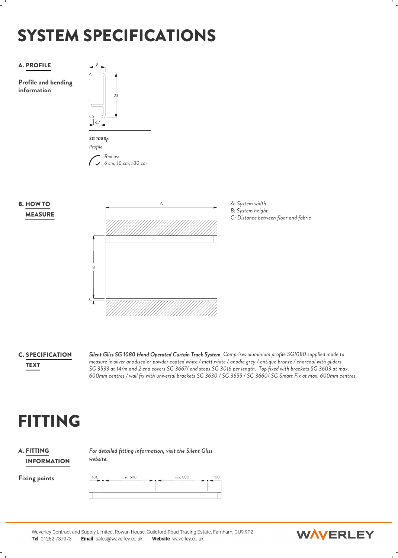## SYSTEM SPECIFICATIONS



**C. SPECIFICATION** Silent Gliss S

*Silent Gliss SG 1080 Hand Operated Curtain Track System. Comprises aluminium profile SG1080 supplied made to measure in silver anodised or powder coated white / matt white / anodic grey / antique bronze / charcoal with gliders SG 3533 at 14/m and 2 end covers SG 3667/ end stops SG 3016 per length. Top fixed with brackets SG 3603 at max.* TEXT *600mm centres / wall fix with universal brackets SG 3630 / SG 3655 / SG 3660/ SG Smart Fix at max. 600mm centres.*

## FITTING

#### **A. FITTING** Form INFORMATION

*For detailed fitting information, visit the Silent Gliss website.*





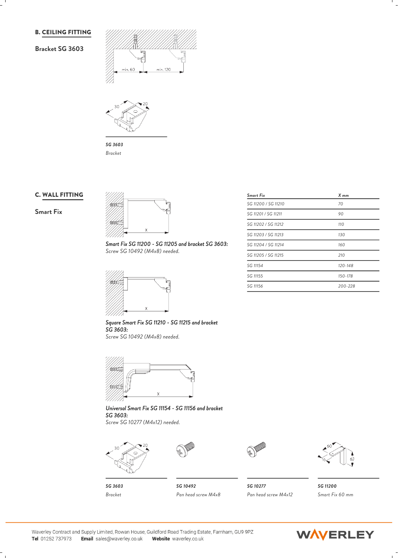#### B. CEILING FITTING

#### **Bracket SG 3603**





*SG 3603 Bracket*

#### C. WALL FITTING

#### **Smart Fix**



*Smart Fix SG 11200 - SG 11205 and bracket SG 3603: Screw SG 10492 (M4x8) needed.*



*Square Smart Fix SG 11210 - SG 11215 and bracket SG 3603:*

*Screw SG 10492 (M4x8) needed.*



*Universal Smart Fix SG 11154 - SG 11156 and bracket SG 3603: Screw SG 10277 (M4x12) needed.*



*SG 3603 Bracket*



*SG 10492 Pan head screw M4x8 Pan head screw M4x12*



*SG 10277 SG 11200 Smart Fix 60 mm*

| SG 11200 / SG 11210 | 70      |  |
|---------------------|---------|--|
| SG 11201 / SG 11211 | 90      |  |
| SG 11202 / SG 11212 | 110     |  |
| SG 11203 / SG 11213 | 130     |  |
| SG 11204 / SG 11214 | 160     |  |
| SG 11205 / SG 11215 | 210     |  |
| SG 11154            | 120-148 |  |
| SG 11155            | 150-178 |  |
| SG 11156            | 200-228 |  |

*Smart Fix X mm*

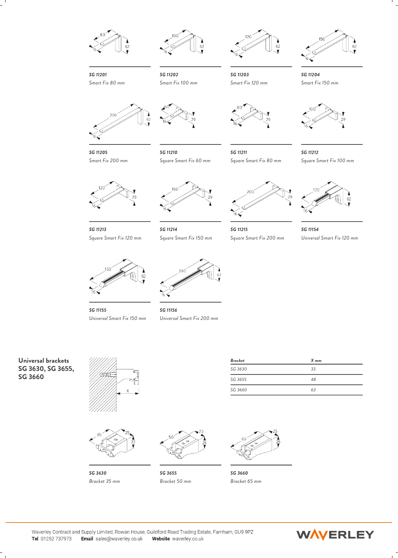





*SG 11202* Smart Fix 120 mm *SG 11203 SG 11204*



*Smart Fix 120 mm Smart Fix 150 mm*



*SG 11201 Smart Fix 80 mm*

*SG 11205*



*Smart Fix 200 mm*



*SG 11210 SG 11211 Square Smart Fix 60 mm*



*Square Smart Fix 80 mm Square Smart Fix 100 mm SG 11212*



*SG 11213*



*Square Smart Fix 120 mm*



*SG 11214*



*Square Smart Fix 150 mm Square Smart Fix 200 mm SG 11215 SG 11154 Universal Smart Fix 120 mm*





*SG 11155 SG 11156 Universal Smart Fix 150 mm Universal Smart Fix 200 mm*



**SG 3660** *<i>MADE* 



*SG 3630*



*Bracket 35 mm Bracket 50 mm Bracket 65 mm*

| Bracket | $X$ mm |  |
|---------|--------|--|
| SG 3630 | 33     |  |
| SG 3655 | 48     |  |
| SG 3660 | 63     |  |



*SG 3655 SG 3660*

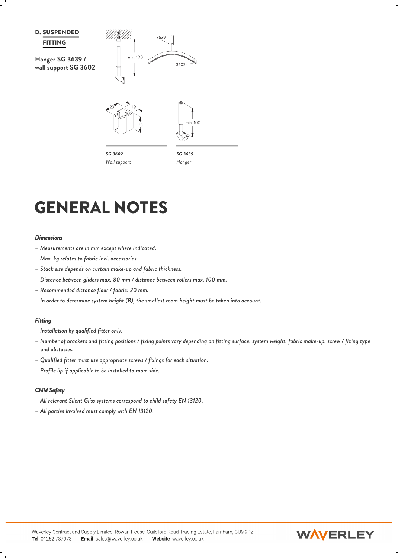

## GENERAL NOTES

#### *Dimensions*

- *– Measurements are in mm except where indicated.*
- *– Max. kg relates to fabric incl. accessories.*
- *– Stack size depends on curtain make-up and fabric thickness.*
- *– Distance between gliders max. 80 mm / distance between rollers max. 100 mm.*
- *– Recommended distance floor / fabric: 20 mm.*
- *– In order to determine system height (B), the smallest room height must be taken into account.*

#### *Fitting*

- *– Installation by qualified fitter only.*
- *– Number of brackets and fitting positions / fixing points vary depending on fitting surface, system weight, fabric make-up, screw / fixing type and obstacles. – Must. Rg relates to Jubric Incit, accessories.*<br>- Stack size depends on curtain make-up and fabric thickness.<br>- Distance between gliders max. 80 mm / distance between rollers max. 100 mm.<br>- Recommended distance floor /
- *– Qualified fitter must use appropriate screws / fixings for each situation.*
- *– Profile lip if applicable to be installed to room side.*

#### *Child Safety*

- 
- 

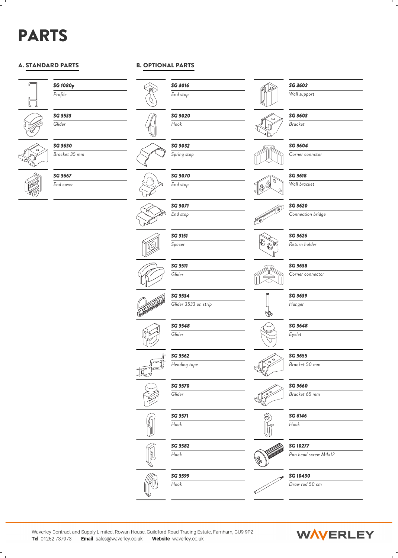## PARTS

#### A. STANDARD PARTS



*SG 1080p Profile*



*SG 3533 Glider*



*SG 3630 Bracket 35 mm*



*SG 3667 End cover*

#### B. OPTIONAL PARTS



*SG 3020 Hook*

*SG 3032 Spring stop*

> *SG 3071 End stop*

*Glider*

*SG 3534*

*SG 3548 Glider*

*SG 3562 Heading tape*

*SG 3570 Glider*

*SG 3571 Hook*

*SG 3582 Hook*

*Glider 3533 on strip*

**SG 3070**<br>
End stop **SG 3070** *End stop*















*SG 3599 Hook*



*SG 3603 Bracket*

*SG 3602 Wall support*

*SG 3604*

*Corner connctor*

*SG 3618 Wall bracket*



*SG 3620 Connection bridge*

*SG 3626 Return holder*







*Hanger*

*SG 3648*

*Eyelet*

*SG 3655*

*Bracket 50 mm*

*SG 3660*

*Bracket 65 mm*

*SG 6146*

*Hook*



*Pan head screw M4x12*

*SG 10430*



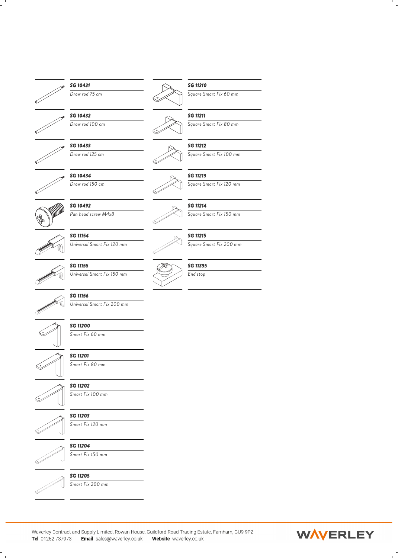

### *SG 10431*



*SG 10433*

*SG 10434 Draw rod 150 cm*



*SG 10492 Pan head screw M4x8*



*SG 11154 Universal Smart Fix 120 mm Square Smart Fix 200 mm*







*SG 11156 Universal Smart Fix 200 mm*



*SG 11200 Smart Fix 60 mm*







*Smart Fix 100 mm*

*Smart Fix 80 mm*



*SG 11203 Smart Fix 120 mm*







*SG 11205 Smart Fix 200 mm*

$$
\overline{\mathbb{R}}
$$

*Draw rod 75 cm Square Smart Fix 60 mm SG 11210*



*Draw rod 100 cm Square Smart Fix 80 mm*







*Square Smart Fix 150 mm*

*Square Smart Fix 120 mm*

*SG 11215*







Waverley Contract and Supply Limited, Rowan House, Guildford Road Trading Estate, Farnham, GU9 9PZ Tel 01252 737973 Email sales@waverley.co.uk Website waverley.co.uk